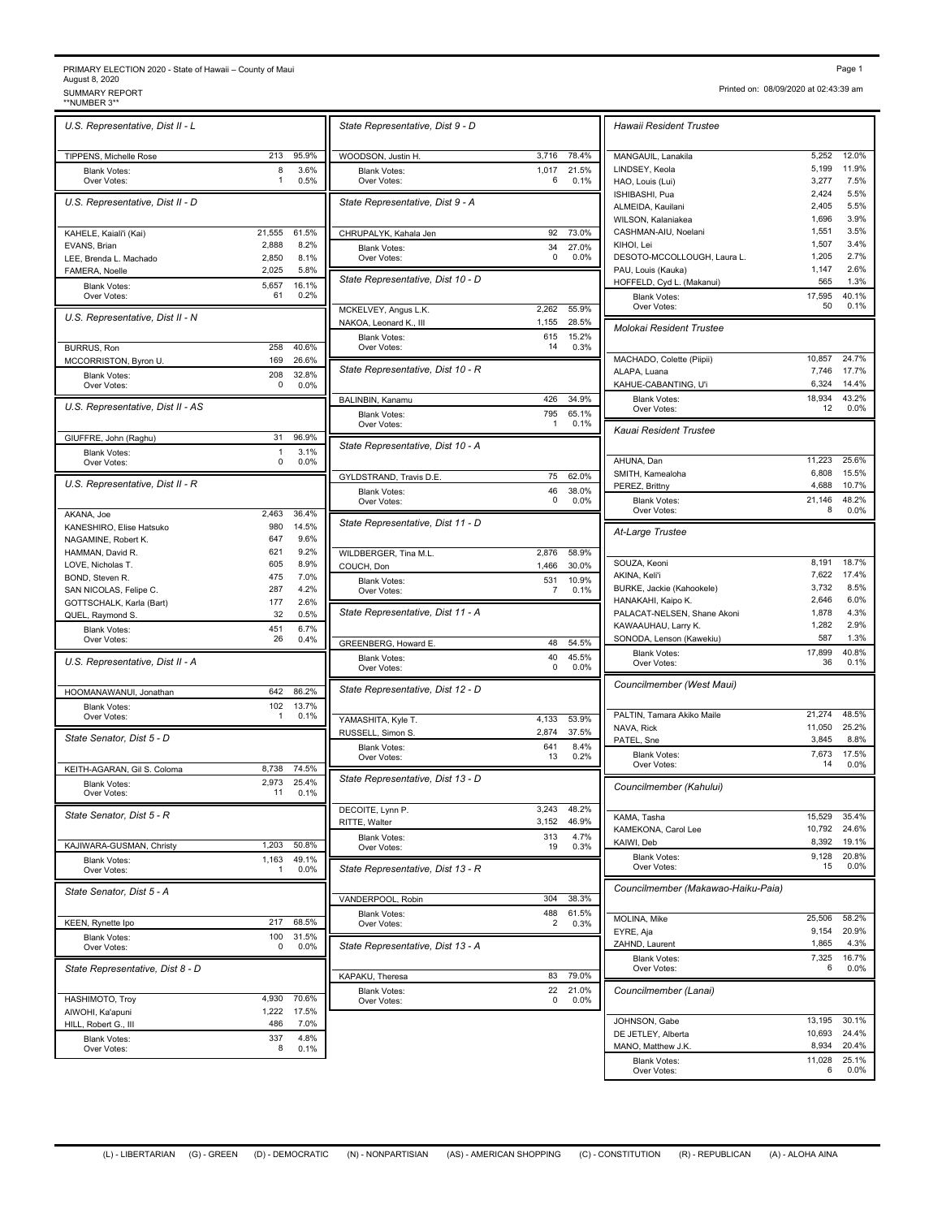## PRIMARY ELECTION 2020 - State of Hawaii – County of Maui August 8, 2020<br>SUMMARY REPORT PRIMARY ELECTION 2020 - State of Hawaii – County of Maui<br>August 8, 2020<br>\*NUMBER 3\*\* SUMMARY REPORT<br>\*\*NUMBER 3\*\* STATES AND REPORT PAGE 102:43:39 am<br>\*\*NUMBER 3\*\*

*U.S. Representative, Dist II - L* TIPPENS, Michelle Rose 213 95.9% Blank Votes: 8 3.6%<br>Over Votes: 1 0.5% Over Votes:  $\begin{array}{ccc} 1 & 0.5\% & 1 \end{array}$  Over Votes: *U.S. Representative, Dist II - D* KAHELE, Kaiali'i (Kai) 21,555 61.5% EVANS, Brian **EXANS, Brian COVID-1, EXANS, Brian COVID-2**, 888 8.2% LEE, Brenda L. Machado 2,850 8.1% FAMERA, Noelle 2,025 5.8% Blank Votes: 5,657 16.1%<br>Over Votes: 61 0.2% Over Votes: 61 0.2% 16.1% *U.S. Representative, Dist II - N* BURRUS, Ron 258 40.6%<br>MCCORRISTON. Byron U. 469 26.6% MCCORRISTON, Byron U. Blank Votes: 208 32.8%<br>Over Votes: 208 0.0% Over Votes: 0 0.0% 32.8% *U.S. Representative, Dist II - AS* GIUFFRE, John (Raghu) 31 96.9% Blank Votes: 1 3.1%<br>Over Votes: 0 0.0% Over Votes: 0 0.0% 3.1% *U.S. Representative, Dist II - R* AKANA, Joe 2,463 36.4% KANESHIRO, Elise Hatsuko 980 14.5% NAGAMINE, Robert K. 647 9.6%<br>HAMMAN, David R. 621 9.2% HAMMAN, David R. (1992) 82% 82% 82% 82% 82% 82% 83% 83% 83% 84% 84% 84% 84% 84% 84% 84% 85% 85% 85% 85% 85% 85<br>COVE, Nicholas T. LOVE, Nicholas T. 605 8.9%<br>BOND, Steven R. 605 8.9% BOND, Steven R. 475 7.0%<br>SAN NICOLAS. Felipe C. 42% 287 4.2% SAN NICOLAS, Felipe C. GOTTSCHALK, Karla (Bart) 177 2.6% QUEL, Raymond S. 32 0.5% Blank Votes: 451 6.7%<br>Over Votes: 26 0.4% Over Votes: 26 0.4% CREENBERG Howard E 6.7% *U.S. Representative, Dist II - A* HOOMANAWANUI, Jonathan 642 86.2% Blank Votes: 102 13.7%<br>Over Votes: 1 0.1% 1 0.1% Over Votes: 1 0.1% T VAMASHITA Kyle T 13.7% *State Senator, Dist 5 - D* KEITH-AGARAN, Gil S. Coloma 8,738 74.5% Blank Votes: 2,973 25.4%<br>Over Votes: 2,973 25.4% Over Votes: 11 0.1% 2.973 25.4% *State Senator, Dist 5 - R* KAJIWARA-GUSMAN, Christy 1,203 50.8% Blank Votes: 1,163 49.1%<br>Over Votes: 1 0.0% Over Votes: 1 0.0% || State Representative, Dist 1 49.1% *State Senator, Dist 5 - A* KEEN, Rynette Ipo 217 68.5% Blank Votes: 100<br>Over Votes: 100<br>0 Over Votes: 0 0.0% 【】 State Representative, Dist 1 31.5%<br>0.0% *State Representative, Dist 8 - D* HASHIMOTO, Troy 4,930 70.6% AIWOHI, Ka'apuni 1,222 17.5% HILL, Robert G., III Blank Votes: 337 4.8%<br>Over Votes: 3 0.1% 4.8%

Over Votes: 8 0.1%

| State Representative, Dist 9 - D   |                |                      | Hawaii Resident Trustee            |                |               |
|------------------------------------|----------------|----------------------|------------------------------------|----------------|---------------|
| WOODSON, Justin H.                 | 3,716          | 78.4%                | MANGAUIL, Lanakila                 | 5,252          | 12.0%         |
| <b>Blank Votes:</b>                | 1,017          | 21.5%                | LINDSEY, Keola                     | 5,199          | 11.9%         |
| Over Votes:                        | 6              | 0.1%                 | HAO, Louis (Lui)                   | 3,277          | 7.5%          |
| State Representative, Dist 9 - A   |                |                      | ISHIBASHI, Pua                     | 2,424          | 5.5%          |
|                                    |                |                      | ALMEIDA, Kauilani                  | 2,405          | 5.5%          |
|                                    |                |                      | WILSON, Kalaniakea                 | 1,696<br>1,551 | 3.9%<br>3.5%  |
| CHRUPALYK, Kahala Jen              | 92             | 73.0%                | CASHMAN-AIU, Noelani<br>KIHOI, Lei | 1,507          | 3.4%          |
| <b>Blank Votes:</b><br>Over Votes: | 34<br>0        | 27.0%<br>0.0%        | DESOTO-MCCOLLOUGH, Laura L.        | 1,205          | 2.7%          |
|                                    |                |                      | PAU, Louis (Kauka)                 | 1,147          | 2.6%          |
| State Representative, Dist 10 - D  |                |                      | HOFFELD, Cyd L. (Makanui)          | 565            | 1.3%          |
|                                    |                |                      | <b>Blank Votes:</b>                | 17.595         | 40.1%         |
| MCKELVEY, Angus L.K.               | 2,262          | 55.9%                | Over Votes:                        | 50             | 0.1%          |
| NAKOA, Leonard K., III             | 1,155          | 28.5%                | <b>Molokai Resident Trustee</b>    |                |               |
| <b>Blank Votes:</b>                | 615            | 15.2%                |                                    |                |               |
| Over Votes:                        | 14             | 0.3%                 | MACHADO, Colette (Piipii)          | 10,857         | 24.7%         |
| State Representative, Dist 10 - R  |                |                      | ALAPA, Luana                       | 7,746          | 17.7%         |
|                                    |                |                      | KAHUE-CABANTING, U'i               | 6,324          | 14.4%         |
| BALINBIN, Kanamu                   | 426            | 34.9%                | <b>Blank Votes:</b>                | 18,934         | 43.2%         |
| <b>Blank Votes:</b>                | 795            | 65.1%                | Over Votes:                        | 12             | 0.0%          |
| Over Votes:                        | 1              | 0.1%                 | Kauai Resident Trustee             |                |               |
|                                    |                |                      |                                    |                |               |
| State Representative, Dist 10 - A  |                |                      |                                    |                |               |
|                                    |                |                      | AHUNA, Dan                         | 11,223         | 25.6%         |
| GYLDSTRAND, Travis D.E.            | 75             | 62.0%                | SMITH, Kamealoha                   | 6,808          | 15.5%         |
| <b>Blank Votes:</b>                | 46             | 38.0%                | PEREZ, Brittny                     | 4,688          | 10.7%         |
| Over Votes:                        | $\mathbf 0$    | 0.0%                 | <b>Blank Votes:</b><br>Over Votes: | 21,146<br>8    | 48.2%<br>0.0% |
| State Representative, Dist 11 - D  |                |                      |                                    |                |               |
|                                    |                |                      | At-Large Trustee                   |                |               |
| WILDBERGER, Tina M.L.              | 2,876          | 58.9%                |                                    |                |               |
| COUCH, Don                         | 1,466          | 30.0%                | SOUZA, Keoni                       | 8,191          | 18.7%         |
| <b>Blank Votes:</b>                | 531            | 10.9%                | AKINA, Keli'i                      | 7,622          | 17.4%         |
| Over Votes:                        | $\overline{7}$ | 0.1%                 | BURKE, Jackie (Kahookele)          | 3,732          | 8.5%          |
|                                    |                |                      | HANAKAHI, Kaipo K.                 | 2,646          | 6.0%          |
| State Representative, Dist 11 - A  |                |                      | PALACAT-NELSEN, Shane Akoni        | 1,878          | 4.3%          |
|                                    |                |                      | KAWAAUHAU, Larry K.                | 1,282<br>587   | 2.9%<br>1.3%  |
| GREENBERG, Howard E.               | 48             | 54.5%                | SONODA, Lenson (Kawekiu)           |                |               |
| <b>Blank Votes:</b>                | 40<br>0        | 45.5%                | <b>Blank Votes:</b><br>Over Votes: | 17,899<br>36   | 40.8%<br>0.1% |
| Over Votes:                        |                | 0.0%                 |                                    |                |               |
| State Representative, Dist 12 - D  |                |                      | Councilmember (West Maui)          |                |               |
|                                    |                |                      |                                    |                |               |
| YAMASHITA, Kyle T.                 | 4,133          | 53.9%                | PALTIN, Tamara Akiko Maile         | 21,274         | 48.5%         |
| RUSSELL, Simon S.                  | 2,874          | 37.5%                | NAVA, Rick                         | 11,050         | 25.2%         |
| <b>Blank Votes:</b>                | 641            | 8.4%                 | PATEL, Sne                         | 3,845          | 8.8%          |
| Over Votes:                        | 13             | 0.2%                 | <b>Blank Votes:</b><br>Over Votes: | 7,673<br>14    | 17.5%<br>0.0% |
| State Representative, Dist 13 - D  |                |                      |                                    |                |               |
|                                    |                |                      | Councilmember (Kahului)            |                |               |
|                                    |                |                      |                                    |                |               |
| DECOITE, Lynn P.                   |                | 3,243 48.2%<br>46.9% | KAMA, Tasha                        | 15,529         | 35.4%         |
| RITTE, Walter                      | 3,152          |                      | KAMEKONA, Carol Lee                | 10,792         | 24.6%         |
| <b>Blank Votes:</b><br>Over Votes: | 313<br>19      | 4.7%<br>0.3%         | KAIWI, Deb                         | 8,392          | 19.1%         |
|                                    |                |                      | <b>Blank Votes:</b>                | 9,128          | 20.8%         |
| State Representative, Dist 13 - R  |                |                      | Over Votes:                        | 15             | 0.0%          |
|                                    |                |                      | Councilmember (Makawao-Haiku-Paia) |                |               |
| VANDERPOOL, Robin                  | 304            | 38.3%                |                                    |                |               |
| <b>Blank Votes:</b>                | 488            | 61.5%                |                                    |                |               |
| Over Votes:                        | $\overline{2}$ | 0.3%                 | MOLINA, Mike                       | 25,506         | 58.2%         |
|                                    |                |                      | EYRE, Aja<br>ZAHND, Laurent        | 9,154<br>1,865 | 20.9%         |
| State Representative, Dist 13 - A  |                |                      |                                    |                | 4.3%          |
|                                    |                |                      | <b>Blank Votes:</b><br>Over Votes: | 7,325<br>6     | 16.7%<br>0.0% |
| KAPAKU, Theresa                    | 83             | 79.0%                |                                    |                |               |
| <b>Blank Votes:</b>                | 22             | 21.0%                | Councilmember (Lanai)              |                |               |
| Over Votes:                        | 0              | 0.0%                 |                                    |                |               |
|                                    |                |                      | JOHNSON, Gabe                      |                | 13,195 30.1%  |
|                                    |                |                      |                                    |                |               |

Over Votes: 6 0.1% HAO, Louis (Lui) 3,277 7.5% 21.5% LINDSEY, Keola 5,199 11.9% Over Votes: 0 0.0% 27.0% DESOTO-MCCOLLOUGH, Laura L. 1,205 2.7% 15.2% 65.1% Collection of the second second second second second second second second second second second second second second second second second second second second second second second second second second second second se 38.0% PEREZ, Brittny 4,688 10.7% Over Votes: 7 0.1% 10.9% BURKE, Jackie (Kahookele) 3,732 8.5% 45.5% Blank Votes: 17,899 40.8% 8<br>
Over Votes: 36 0.1% 8.4% **Blank Votes:** 7,673 17.5% KAIWI, Deb 61.5% MOLINA, Mike 25,506 58.2% *Hawaii Resident Trustee* ISHIBASHI, Pua 2,424 5.5% ALMEIDA, Kauilani 2,405 5.5%<br>
WILSON, Kalaniakea 2008 1,696 3.9% WILSON, Kalaniakea 1,696 3.9%<br>CASHMAN-AIU, Noelani 1,551 3.5% KIHOI, Lei 1,507 3.4% PAU, Louis (Kauka) 1,147 2.6% HOFFELD, Cyd L. (Makanui) 565 1.3% Blank Votes: 17,595 40.1%<br>Over Votes: 50 0.1% Over Votes: 50 0.1% 40.1% MACHADO, Colette (Piipii) 10,857 24.7%<br>ALAPA Luana 7.746 17.7% ALAPA, Luana KAHUE-CABANTING, U'i 6,324 14.4% Blank Votes: 18,934 43.2%<br>Over Votes: 12 0.0% Over Votes:  $12 0.0\%$  43.2% AHUNA, Dan 11,223 25.6% SMITH, Kamealoha 6,808 15.5% Blank Votes: 21,146 48.2%<br>Over Votes: 8 0.0% Over Votes: 8 0.0% 48.2% *At-Large Trustee* SOUZA, Keoni 8,191 18.7% AKINA, Keli'i 7,622 17.4% HANAKAHI, Kaipo K. 2,646 6.0%<br>PALACAT-NELSEN, Shane Akoni 1,878 4.3% PALACAT-NELSEN, Shane Akoni 1,878 1,878<br>KAWAAUHAU, Larry K. 1,282 KAWAAUHAU, Larry K. 1,282 2.9% 40.8% *Councilmember (West Maui)* NAVA, Rick 11,050 25.2%<br>PATEL, Sne 3,845 8.8% PATEL, Sne 3,845 8.8% Over Votes: 14 0.0% 17.5% *Councilmember (Kahului)* KAMA, Tasha 15,529 35.4% KAIWI, Deb 8,392 19.1% Blank Votes: 9,128 20.8% Over Votes:  $15$  0.0% *Councilmember (Makawao-Haiku-Paia)* EYRE, Aja 9,154 20.9% ZAHND, Laurent 1,865 4.3% Blank Votes: 7,325 16.7%<br>Over Votes: 6 0.0% Over Votes: 6 0.0% 16.7% JOHNSON, Gabe 13,195 30.1%<br>
DE JETLEY Alberta 10.693 24.4% DE JETLEY, Alberta MANO, Matthew J.K. 8,934 20.4% Blank Votes: 11,028 25.1%<br>Over Votes: 6 0.0% Over Votes: 6 0.0% 25.1%

Printed on: 08/09/2020 at 02:43:39 am